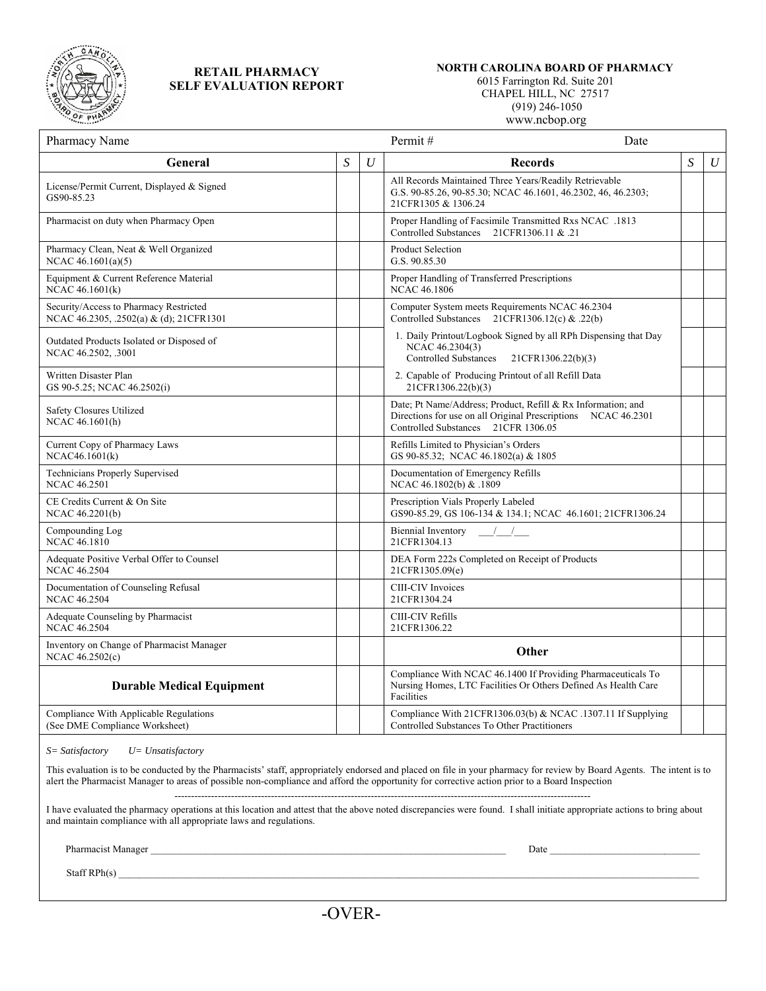

## **RETAIL PHARMACY SELF EVALUATION REPORT**

## **NORTH CAROLINA BOARD OF PHARMACY**

 6015 Farrington Rd. Suite 201 CHAPEL HILL, NC 27517

(919) 246-1050

www.ncbop.org

| Pharmacy Name                                                                     |   |   | Permit#<br>Date                                                                                                                                                      |   |          |
|-----------------------------------------------------------------------------------|---|---|----------------------------------------------------------------------------------------------------------------------------------------------------------------------|---|----------|
| General                                                                           | S | U | <b>Records</b>                                                                                                                                                       | S | $\cal U$ |
| License/Permit Current, Displayed & Signed<br>GS90-85.23                          |   |   | All Records Maintained Three Years/Readily Retrievable<br>G.S. 90-85.26, 90-85.30; NCAC 46.1601, 46.2302, 46, 46.2303;<br>21CFR1305 & 1306.24                        |   |          |
| Pharmacist on duty when Pharmacy Open                                             |   |   | Proper Handling of Facsimile Transmitted Rxs NCAC .1813<br><b>Controlled Substances</b><br>21 21 21 21 21 21 21                                                      |   |          |
| Pharmacy Clean, Neat & Well Organized<br>NCAC $46.1601(a)(5)$                     |   |   | <b>Product Selection</b><br>G.S. 90.85.30                                                                                                                            |   |          |
| Equipment & Current Reference Material<br>NCAC 46.1601(k)                         |   |   | Proper Handling of Transferred Prescriptions<br><b>NCAC 46.1806</b>                                                                                                  |   |          |
| Security/Access to Pharmacy Restricted<br>NCAC 46.2305, .2502(a) & (d); 21CFR1301 |   |   | Computer System meets Requirements NCAC 46.2304<br>Controlled Substances 21CFR1306.12(c) & .22(b)                                                                    |   |          |
| Outdated Products Isolated or Disposed of<br>NCAC 46.2502, .3001                  |   |   | 1. Daily Printout/Logbook Signed by all RPh Dispensing that Day<br>NCAC 46.2304(3)<br><b>Controlled Substances</b><br>21CFR1306.22(b)(3)                             |   |          |
| Written Disaster Plan<br>GS 90-5.25; NCAC 46.2502(i)                              |   |   | 2. Capable of Producing Printout of all Refill Data<br>21CFR1306.22(b)(3)                                                                                            |   |          |
| <b>Safety Closures Utilized</b><br>NCAC 46.1601(h)                                |   |   | Date; Pt Name/Address; Product, Refill & Rx Information; and<br>Directions for use on all Original Prescriptions NCAC 46.2301<br>Controlled Substances 21CFR 1306.05 |   |          |
| Current Copy of Pharmacy Laws<br>NCAC46.1601(k)                                   |   |   | Refills Limited to Physician's Orders<br>GS 90-85.32; NCAC 46.1802(a) & 1805                                                                                         |   |          |
| <b>Technicians Properly Supervised</b><br><b>NCAC 46.2501</b>                     |   |   | Documentation of Emergency Refills<br>NCAC 46.1802(b) & .1809                                                                                                        |   |          |
| CE Credits Current & On Site<br>NCAC 46.2201(b)                                   |   |   | Prescription Vials Properly Labeled<br>GS90-85.29, GS 106-134 & 134.1; NCAC 46.1601; 21CFR1306.24                                                                    |   |          |
| Compounding Log<br>NCAC 46.1810                                                   |   |   | Biennial Inventory<br>$\frac{1}{2}$<br>21CFR1304.13                                                                                                                  |   |          |
| Adequate Positive Verbal Offer to Counsel<br><b>NCAC 46.2504</b>                  |   |   | DEA Form 222s Completed on Receipt of Products<br>21CFR1305.09(e)                                                                                                    |   |          |
| Documentation of Counseling Refusal<br><b>NCAC 46.2504</b>                        |   |   | <b>CIII-CIV</b> Invoices<br>21CFR1304.24                                                                                                                             |   |          |
| Adequate Counseling by Pharmacist<br><b>NCAC 46.2504</b>                          |   |   | CIII-CIV Refills<br>21CFR1306.22                                                                                                                                     |   |          |
| Inventory on Change of Pharmacist Manager<br>NCAC 46.2502(c)                      |   |   | Other                                                                                                                                                                |   |          |
| <b>Durable Medical Equipment</b>                                                  |   |   | Compliance With NCAC 46.1400 If Providing Pharmaceuticals To<br>Nursing Homes, LTC Facilities Or Others Defined As Health Care<br>Facilities                         |   |          |
| Compliance With Applicable Regulations<br>(See DME Compliance Worksheet)          |   |   | Compliance With 21CFR1306.03(b) & NCAC .1307.11 If Supplying<br>Controlled Substances To Other Practitioners                                                         |   |          |

*S= Satisfactory U= Unsatisfactory* 

This evaluation is to be conducted by the Pharmacists' staff, appropriately endorsed and placed on file in your pharmacy for review by Board Agents. The intent is to alert the Pharmacist Manager to areas of possible non-compliance and afford the opportunity for corrective action prior to a Board Inspection

-----------------------------------------------------------------------------------------------------------------------------

I have evaluated the pharmacy operations at this location and attest that the above noted discrepancies were found. I shall initiate appropriate actions to bring about and maintain compliance with all appropriate laws and regulations.

Pharmacist Manager \_\_\_\_\_\_\_\_\_\_\_\_\_\_\_\_\_\_\_\_\_\_\_\_\_\_\_\_\_\_\_\_\_\_\_\_\_\_\_\_\_\_\_\_\_\_\_\_\_\_\_\_\_\_\_\_\_\_\_\_\_\_\_\_\_\_\_\_\_\_\_ Date \_\_\_\_\_\_\_\_\_\_\_\_\_\_\_\_\_\_\_\_\_\_\_\_\_\_\_\_\_\_

 $Staff RPh(s)$